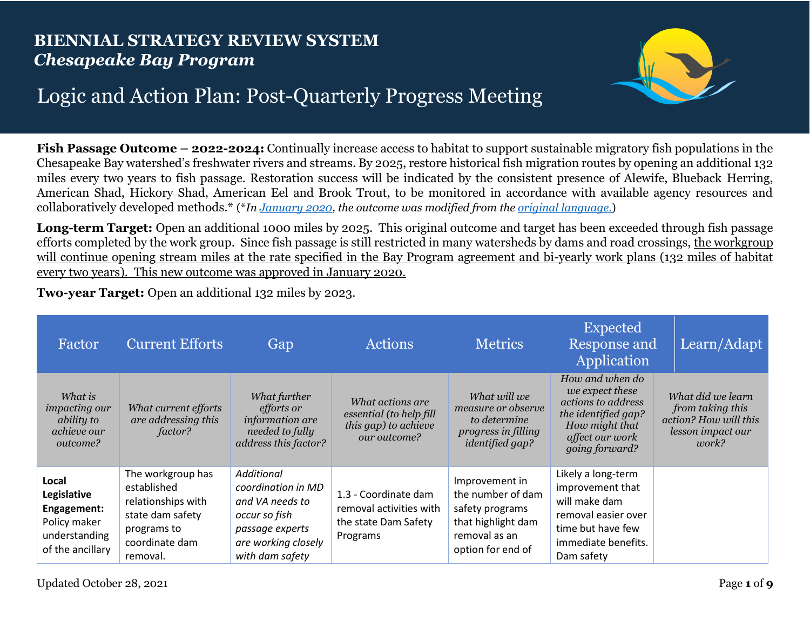## **BIENNIAL STRATEGY REVIEW SYSTEM** *Chesapeake Bay Program*



## Logic and Action Plan: Post-Quarterly Progress Meeting

**Fish Passage Outcome – 2022-2024:** Continually increase access to habitat to support sustainable migratory fish populations in the Chesapeake Bay watershed's freshwater rivers and streams. By 2025, restore historical fish migration routes by opening an additional 132 miles every two years to fish passage. Restoration success will be indicated by the consistent presence of Alewife, Blueback Herring, American Shad, Hickory Shad, American Eel and Brook Trout, to be monitored in accordance with available agency resources and collaboratively developed methods.\* (\**In [January 2020,](https://www.chesapeakebay.net/decisions/management-decisions#39981) the outcome was modified from the [original language](https://www.chesapeakebay.net/what/goals/vital_habitats)*[.\)](https://www.chesapeakebay.net/what/goals/vital_habitats)

**Long-term Target:** Open an additional 1000 miles by 2025. This original outcome and target has been exceeded through fish passage efforts completed by the work group. Since fish passage is still restricted in many watersheds by dams and road crossings, the workgroup will continue opening stream miles at the rate specified in the Bay Program agreement and bi-yearly work plans (132 miles of habitat every two years). This new outcome was approved in January 2020.

**Two-year Target:** Open an additional 132 miles by 2023.

| Factor                                                                                   | <b>Current Efforts</b>                                                                                                  | Gap                                                                                                                                      | <b>Actions</b>                                                                      | <b>Metrics</b>                                                                                                     | <b>Expected</b><br><b>Response and</b><br>Application                                                                                    | Learn/Adapt                                                                                  |
|------------------------------------------------------------------------------------------|-------------------------------------------------------------------------------------------------------------------------|------------------------------------------------------------------------------------------------------------------------------------------|-------------------------------------------------------------------------------------|--------------------------------------------------------------------------------------------------------------------|------------------------------------------------------------------------------------------------------------------------------------------|----------------------------------------------------------------------------------------------|
| What is<br><i>impacting our</i><br>ability to<br>achieve our<br>outcome?                 | What current efforts<br>are addressing this<br>factor?                                                                  | What further<br><i>efforts or</i><br>information are<br>needed to fully<br>address this factor?                                          | What actions are<br>essential (to help fill<br>this gap) to achieve<br>our outcome? | What will we<br>measure or observe<br>to determine<br>progress in filling<br><i>identified gap?</i>                | How and when do<br>we expect these<br>actions to address<br>the identified gap?<br>How might that<br>affect our work<br>going forward?   | What did we learn<br>from taking this<br>action? How will this<br>lesson impact our<br>work? |
| Local<br>Legislative<br>Engagement:<br>Policy maker<br>understanding<br>of the ancillary | The workgroup has<br>established<br>relationships with<br>state dam safety<br>programs to<br>coordinate dam<br>removal. | <b>Additional</b><br>coordination in MD<br>and VA needs to<br>occur so fish<br>passage experts<br>are working closely<br>with dam safety | 1.3 - Coordinate dam<br>removal activities with<br>the state Dam Safety<br>Programs | Improvement in<br>the number of dam<br>safety programs<br>that highlight dam<br>removal as an<br>option for end of | Likely a long-term<br>improvement that<br>will make dam<br>removal easier over<br>time but have few<br>immediate benefits.<br>Dam safety |                                                                                              |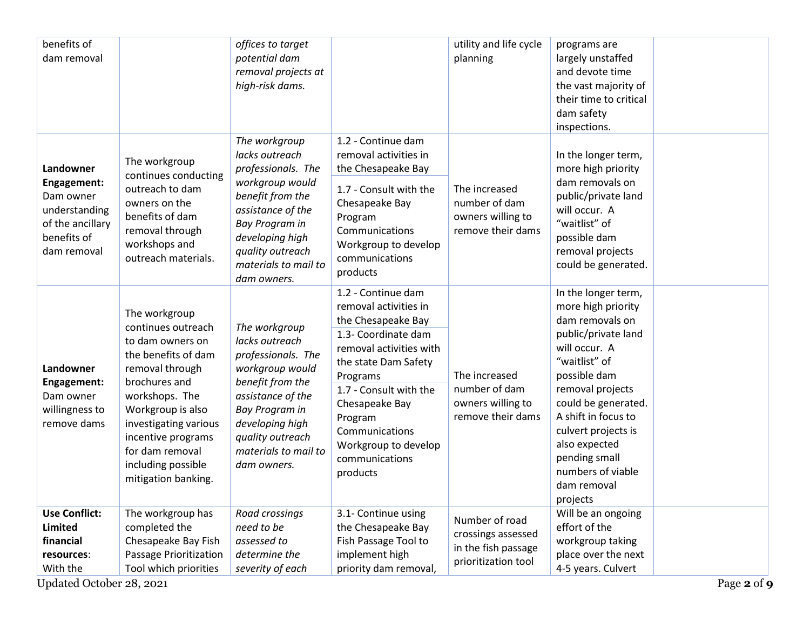| benefits of<br>dam removal                                                                               |                                                                                                                                                                                                                                                                          | offices to target<br>potential dam<br>removal projects at<br>high-risk dams.                                                                                                                                      |                                                                                                                                                                                                                                                                                        | utility and life cycle<br>planning                                                 | programs are<br>largely unstaffed<br>and devote time<br>the vast majority of<br>their time to critical<br>dam safety<br>inspections.                                                                                                                                                                             |
|----------------------------------------------------------------------------------------------------------|--------------------------------------------------------------------------------------------------------------------------------------------------------------------------------------------------------------------------------------------------------------------------|-------------------------------------------------------------------------------------------------------------------------------------------------------------------------------------------------------------------|----------------------------------------------------------------------------------------------------------------------------------------------------------------------------------------------------------------------------------------------------------------------------------------|------------------------------------------------------------------------------------|------------------------------------------------------------------------------------------------------------------------------------------------------------------------------------------------------------------------------------------------------------------------------------------------------------------|
| Landowner<br>Engagement:<br>Dam owner<br>understanding<br>of the ancillary<br>benefits of<br>dam removal | The workgroup<br>continues conducting<br>outreach to dam<br>owners on the<br>benefits of dam<br>removal through<br>workshops and<br>outreach materials.                                                                                                                  | The workgroup<br>lacks outreach<br>professionals. The<br>workgroup would<br>benefit from the<br>assistance of the<br>Bay Program in<br>developing high<br>quality outreach<br>materials to mail to<br>dam owners. | 1.2 - Continue dam<br>removal activities in<br>the Chesapeake Bay<br>1.7 - Consult with the<br>Chesapeake Bay<br>Program<br>Communications<br>Workgroup to develop<br>communications<br>products                                                                                       | The increased<br>number of dam<br>owners willing to<br>remove their dams           | In the longer term,<br>more high priority<br>dam removals on<br>public/private land<br>will occur. A<br>"waitlist" of<br>possible dam<br>removal projects<br>could be generated.                                                                                                                                 |
| Landowner<br>Engagement:<br>Dam owner<br>willingness to<br>remove dams                                   | The workgroup<br>continues outreach<br>to dam owners on<br>the benefits of dam<br>removal through<br>brochures and<br>workshops. The<br>Workgroup is also<br>investigating various<br>incentive programs<br>for dam removal<br>including possible<br>mitigation banking. | The workgroup<br>lacks outreach<br>professionals. The<br>workgroup would<br>benefit from the<br>assistance of the<br>Bay Program in<br>developing high<br>quality outreach<br>materials to mail to<br>dam owners. | 1.2 - Continue dam<br>removal activities in<br>the Chesapeake Bay<br>1.3- Coordinate dam<br>removal activities with<br>the state Dam Safety<br>Programs<br>1.7 - Consult with the<br>Chesapeake Bay<br>Program<br>Communications<br>Workgroup to develop<br>communications<br>products | The increased<br>number of dam<br>owners willing to<br>remove their dams           | In the longer term,<br>more high priority<br>dam removals on<br>public/private land<br>will occur. A<br>"waitlist" of<br>possible dam<br>removal projects<br>could be generated.<br>A shift in focus to<br>culvert projects is<br>also expected<br>pending small<br>numbers of viable<br>dam removal<br>projects |
| <b>Use Conflict:</b><br>Limited<br>financial<br>resources:<br>With the<br>Updated October 28, 2021       | The workgroup has<br>completed the<br>Chesapeake Bay Fish<br>Passage Prioritization<br>Tool which priorities                                                                                                                                                             | Road crossings<br>need to be<br>assessed to<br>determine the<br>severity of each                                                                                                                                  | 3.1- Continue using<br>the Chesapeake Bay<br>Fish Passage Tool to<br>implement high<br>priority dam removal,                                                                                                                                                                           | Number of road<br>crossings assessed<br>in the fish passage<br>prioritization tool | Will be an ongoing<br>effort of the<br>workgroup taking<br>place over the next<br>4-5 years. Culvert<br>Page 2 of 9                                                                                                                                                                                              |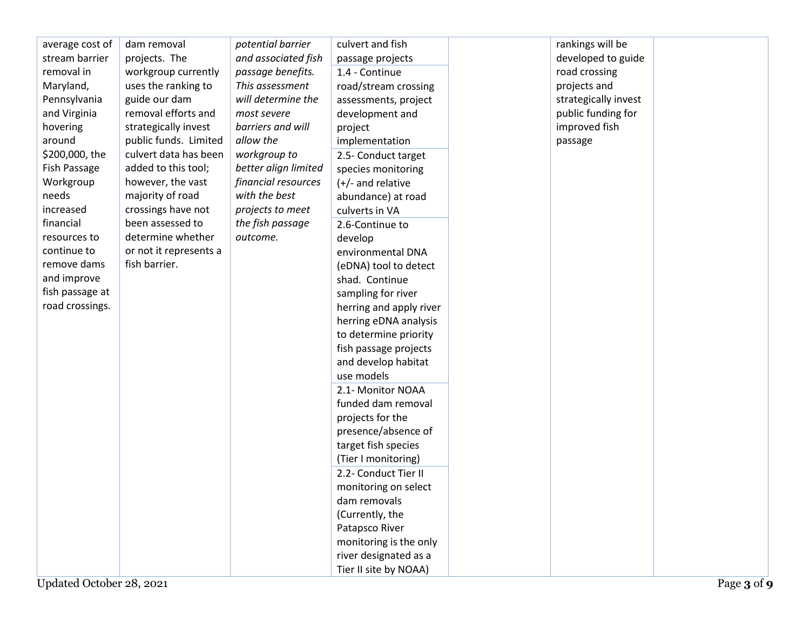| average cost of | dam removal            | potential barrier    | culvert and fish        | rankings will be     |  |
|-----------------|------------------------|----------------------|-------------------------|----------------------|--|
| stream barrier  | projects. The          | and associated fish  | passage projects        | developed to guide   |  |
| removal in      | workgroup currently    | passage benefits.    | 1.4 - Continue          | road crossing        |  |
| Maryland,       | uses the ranking to    | This assessment      | road/stream crossing    | projects and         |  |
| Pennsylvania    | guide our dam          | will determine the   | assessments, project    | strategically invest |  |
| and Virginia    | removal efforts and    | most severe          | development and         | public funding for   |  |
| hovering        | strategically invest   | barriers and will    | project                 | improved fish        |  |
| around          | public funds. Limited  | allow the            | implementation          | passage              |  |
| \$200,000, the  | culvert data has been  | workgroup to         | 2.5- Conduct target     |                      |  |
| Fish Passage    | added to this tool;    | better align limited | species monitoring      |                      |  |
| Workgroup       | however, the vast      | financial resources  | $(+/-$ and relative     |                      |  |
| needs           | majority of road       | with the best        | abundance) at road      |                      |  |
| increased       | crossings have not     | projects to meet     | culverts in VA          |                      |  |
| financial       | been assessed to       | the fish passage     | 2.6-Continue to         |                      |  |
| resources to    | determine whether      | outcome.             | develop                 |                      |  |
| continue to     | or not it represents a |                      | environmental DNA       |                      |  |
| remove dams     | fish barrier.          |                      | (eDNA) tool to detect   |                      |  |
| and improve     |                        |                      | shad. Continue          |                      |  |
| fish passage at |                        |                      | sampling for river      |                      |  |
| road crossings. |                        |                      | herring and apply river |                      |  |
|                 |                        |                      | herring eDNA analysis   |                      |  |
|                 |                        |                      | to determine priority   |                      |  |
|                 |                        |                      | fish passage projects   |                      |  |
|                 |                        |                      | and develop habitat     |                      |  |
|                 |                        |                      | use models              |                      |  |
|                 |                        |                      | 2.1- Monitor NOAA       |                      |  |
|                 |                        |                      | funded dam removal      |                      |  |
|                 |                        |                      | projects for the        |                      |  |
|                 |                        |                      | presence/absence of     |                      |  |
|                 |                        |                      | target fish species     |                      |  |
|                 |                        |                      | (Tier I monitoring)     |                      |  |
|                 |                        |                      | 2.2- Conduct Tier II    |                      |  |
|                 |                        |                      | monitoring on select    |                      |  |
|                 |                        |                      | dam removals            |                      |  |
|                 |                        |                      | (Currently, the         |                      |  |
|                 |                        |                      | Patapsco River          |                      |  |
|                 |                        |                      | monitoring is the only  |                      |  |
|                 |                        |                      | river designated as a   |                      |  |
|                 |                        |                      | Tier II site by NOAA)   |                      |  |
|                 |                        |                      |                         |                      |  |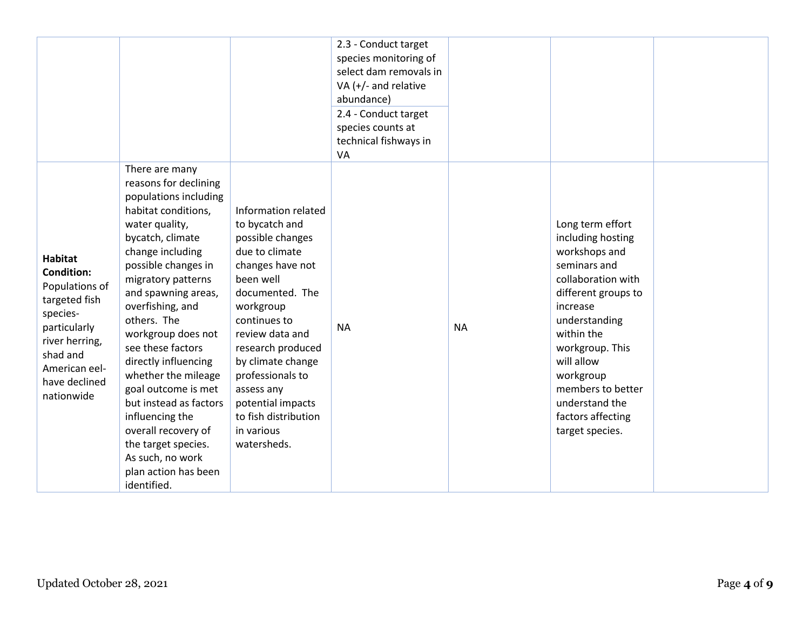|                                                                                                                                                                                  |                                                                                                                                                                                                                                                                                                                                                                                                                                                                                                                                 |                                                                                                                                                                                                                                                                                                                                       | 2.3 - Conduct target<br>species monitoring of<br>select dam removals in<br>VA $(+/-$ and relative<br>abundance)<br>2.4 - Conduct target<br>species counts at<br>technical fishways in<br>VA |           |                                                                                                                                                                                                                                                                                             |  |
|----------------------------------------------------------------------------------------------------------------------------------------------------------------------------------|---------------------------------------------------------------------------------------------------------------------------------------------------------------------------------------------------------------------------------------------------------------------------------------------------------------------------------------------------------------------------------------------------------------------------------------------------------------------------------------------------------------------------------|---------------------------------------------------------------------------------------------------------------------------------------------------------------------------------------------------------------------------------------------------------------------------------------------------------------------------------------|---------------------------------------------------------------------------------------------------------------------------------------------------------------------------------------------|-----------|---------------------------------------------------------------------------------------------------------------------------------------------------------------------------------------------------------------------------------------------------------------------------------------------|--|
| <b>Habitat</b><br><b>Condition:</b><br>Populations of<br>targeted fish<br>species-<br>particularly<br>river herring,<br>shad and<br>American eel-<br>have declined<br>nationwide | There are many<br>reasons for declining<br>populations including<br>habitat conditions,<br>water quality,<br>bycatch, climate<br>change including<br>possible changes in<br>migratory patterns<br>and spawning areas,<br>overfishing, and<br>others. The<br>workgroup does not<br>see these factors<br>directly influencing<br>whether the mileage<br>goal outcome is met<br>but instead as factors<br>influencing the<br>overall recovery of<br>the target species.<br>As such, no work<br>plan action has been<br>identified. | Information related<br>to bycatch and<br>possible changes<br>due to climate<br>changes have not<br>been well<br>documented. The<br>workgroup<br>continues to<br>review data and<br>research produced<br>by climate change<br>professionals to<br>assess any<br>potential impacts<br>to fish distribution<br>in various<br>watersheds. | <b>NA</b>                                                                                                                                                                                   | <b>NA</b> | Long term effort<br>including hosting<br>workshops and<br>seminars and<br>collaboration with<br>different groups to<br>increase<br>understanding<br>within the<br>workgroup. This<br>will allow<br>workgroup<br>members to better<br>understand the<br>factors affecting<br>target species. |  |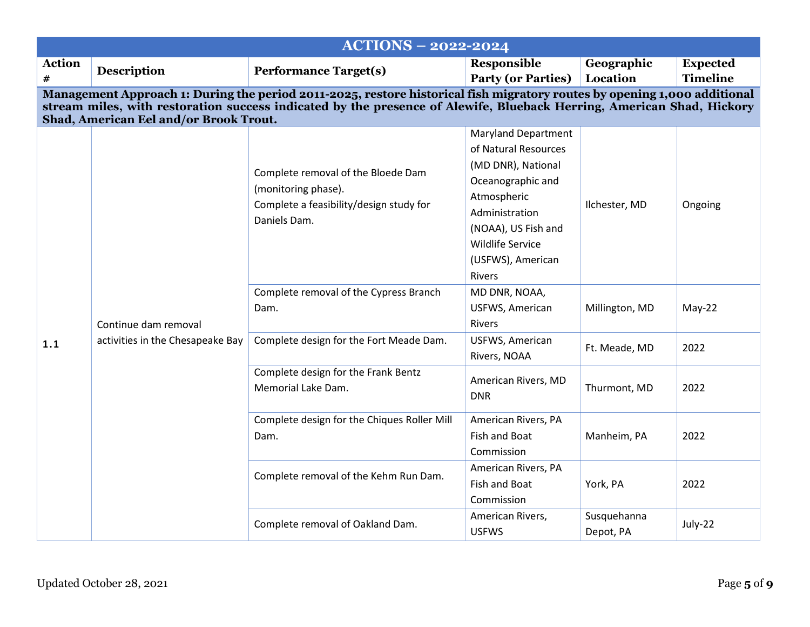| <b>ACTIONS - 2022-2024</b> |                                                                                                                                                                                                                                                                                             |                                                                                                                      |                                                                                                                                                                                                                 |                          |                 |  |  |
|----------------------------|---------------------------------------------------------------------------------------------------------------------------------------------------------------------------------------------------------------------------------------------------------------------------------------------|----------------------------------------------------------------------------------------------------------------------|-----------------------------------------------------------------------------------------------------------------------------------------------------------------------------------------------------------------|--------------------------|-----------------|--|--|
| <b>Action</b>              | <b>Description</b>                                                                                                                                                                                                                                                                          | <b>Performance Target(s)</b>                                                                                         | <b>Responsible</b>                                                                                                                                                                                              | Geographic               | <b>Expected</b> |  |  |
| #                          |                                                                                                                                                                                                                                                                                             |                                                                                                                      | <b>Party (or Parties)</b>                                                                                                                                                                                       | Location                 | <b>Timeline</b> |  |  |
|                            | Management Approach 1: During the period 2011-2025, restore historical fish migratory routes by opening 1,000 additional<br>stream miles, with restoration success indicated by the presence of Alewife, Blueback Herring, American Shad, Hickory<br>Shad, American Eel and/or Brook Trout. |                                                                                                                      |                                                                                                                                                                                                                 |                          |                 |  |  |
|                            |                                                                                                                                                                                                                                                                                             | Complete removal of the Bloede Dam<br>(monitoring phase).<br>Complete a feasibility/design study for<br>Daniels Dam. | <b>Maryland Department</b><br>of Natural Resources<br>(MD DNR), National<br>Oceanographic and<br>Atmospheric<br>Administration<br>(NOAA), US Fish and<br><b>Wildlife Service</b><br>(USFWS), American<br>Rivers | Ilchester, MD            | Ongoing         |  |  |
|                            | Continue dam removal                                                                                                                                                                                                                                                                        | Complete removal of the Cypress Branch<br>Dam.                                                                       | MD DNR, NOAA,<br>USFWS, American<br>Rivers                                                                                                                                                                      | Millington, MD           | $May-22$        |  |  |
| 1.1                        | activities in the Chesapeake Bay                                                                                                                                                                                                                                                            | Complete design for the Fort Meade Dam.                                                                              | USFWS, American<br>Rivers, NOAA                                                                                                                                                                                 | Ft. Meade, MD            | 2022            |  |  |
|                            |                                                                                                                                                                                                                                                                                             | Complete design for the Frank Bentz<br>Memorial Lake Dam.                                                            | American Rivers, MD<br><b>DNR</b>                                                                                                                                                                               | Thurmont, MD             | 2022            |  |  |
|                            |                                                                                                                                                                                                                                                                                             | Complete design for the Chiques Roller Mill<br>Dam.                                                                  | American Rivers, PA<br>Fish and Boat<br>Commission                                                                                                                                                              | Manheim, PA              | 2022            |  |  |
|                            |                                                                                                                                                                                                                                                                                             | Complete removal of the Kehm Run Dam.                                                                                | American Rivers, PA<br>Fish and Boat<br>Commission                                                                                                                                                              | York, PA                 | 2022            |  |  |
|                            |                                                                                                                                                                                                                                                                                             | Complete removal of Oakland Dam.                                                                                     | American Rivers,<br><b>USFWS</b>                                                                                                                                                                                | Susquehanna<br>Depot, PA | July-22         |  |  |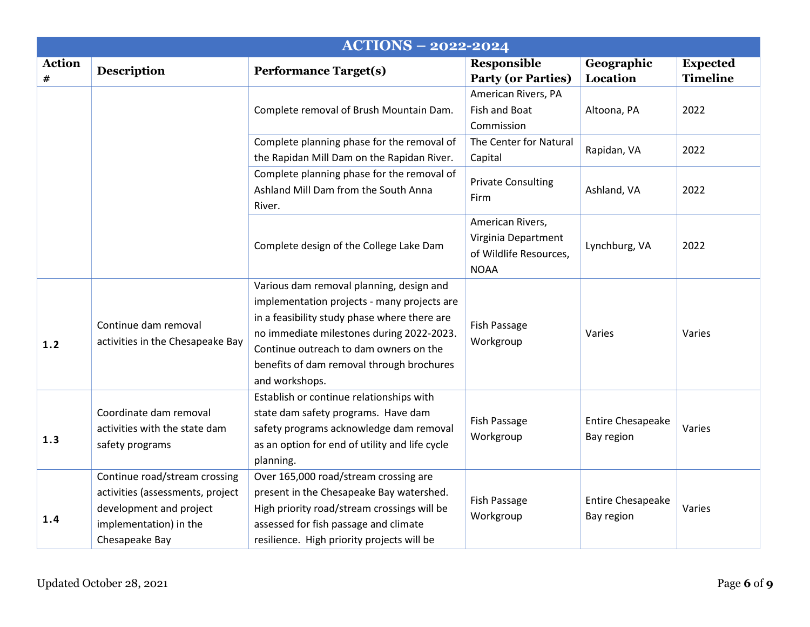|                             | <b>ACTIONS - 2022-2024</b>                                                                                                               |                                                                                                                                                                                                                                                                                               |                                                                                  |                                        |                                    |  |  |  |  |
|-----------------------------|------------------------------------------------------------------------------------------------------------------------------------------|-----------------------------------------------------------------------------------------------------------------------------------------------------------------------------------------------------------------------------------------------------------------------------------------------|----------------------------------------------------------------------------------|----------------------------------------|------------------------------------|--|--|--|--|
| <b>Action</b><br>$\pmb{\#}$ | <b>Description</b>                                                                                                                       | <b>Performance Target(s)</b>                                                                                                                                                                                                                                                                  | <b>Responsible</b><br><b>Party (or Parties)</b>                                  | Geographic<br>Location                 | <b>Expected</b><br><b>Timeline</b> |  |  |  |  |
|                             |                                                                                                                                          | Complete removal of Brush Mountain Dam.                                                                                                                                                                                                                                                       | American Rivers, PA<br>Fish and Boat<br>Commission                               | Altoona, PA                            | 2022                               |  |  |  |  |
|                             |                                                                                                                                          | Complete planning phase for the removal of<br>the Rapidan Mill Dam on the Rapidan River.                                                                                                                                                                                                      | The Center for Natural<br>Capital                                                | Rapidan, VA                            | 2022                               |  |  |  |  |
|                             |                                                                                                                                          | Complete planning phase for the removal of<br>Ashland Mill Dam from the South Anna<br>River.                                                                                                                                                                                                  | <b>Private Consulting</b><br>Firm                                                | Ashland, VA                            | 2022                               |  |  |  |  |
|                             |                                                                                                                                          | Complete design of the College Lake Dam                                                                                                                                                                                                                                                       | American Rivers,<br>Virginia Department<br>of Wildlife Resources,<br><b>NOAA</b> | Lynchburg, VA                          | 2022                               |  |  |  |  |
| 1.2                         | Continue dam removal<br>activities in the Chesapeake Bay                                                                                 | Various dam removal planning, design and<br>implementation projects - many projects are<br>in a feasibility study phase where there are<br>no immediate milestones during 2022-2023.<br>Continue outreach to dam owners on the<br>benefits of dam removal through brochures<br>and workshops. | Fish Passage<br>Workgroup                                                        | Varies                                 | Varies                             |  |  |  |  |
| 1.3                         | Coordinate dam removal<br>activities with the state dam<br>safety programs                                                               | Establish or continue relationships with<br>state dam safety programs. Have dam<br>safety programs acknowledge dam removal<br>as an option for end of utility and life cycle<br>planning.                                                                                                     | Fish Passage<br>Workgroup                                                        | <b>Entire Chesapeake</b><br>Bay region | Varies                             |  |  |  |  |
| 1.4                         | Continue road/stream crossing<br>activities (assessments, project<br>development and project<br>implementation) in the<br>Chesapeake Bay | Over 165,000 road/stream crossing are<br>present in the Chesapeake Bay watershed.<br>High priority road/stream crossings will be<br>assessed for fish passage and climate<br>resilience. High priority projects will be                                                                       | Fish Passage<br>Workgroup                                                        | <b>Entire Chesapeake</b><br>Bay region | Varies                             |  |  |  |  |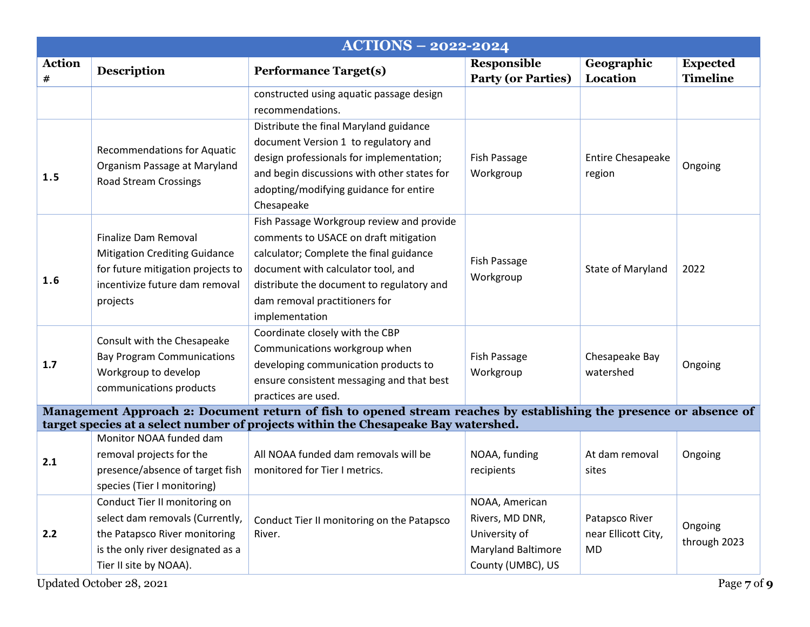| <b>Responsible</b><br><b>Performance Target(s)</b><br><b>Party (or Parties)</b><br>constructed using aquatic passage design<br>Distribute the final Maryland guidance<br>document Version 1 to regulatory and | Geographic<br>Location                                                                                                                                                                                                                                                                                                                                                                                                                                                                                                                                                                                                                                                                                                                                                                            | <b>Expected</b><br><b>Timeline</b>                                                                                                       |
|---------------------------------------------------------------------------------------------------------------------------------------------------------------------------------------------------------------|---------------------------------------------------------------------------------------------------------------------------------------------------------------------------------------------------------------------------------------------------------------------------------------------------------------------------------------------------------------------------------------------------------------------------------------------------------------------------------------------------------------------------------------------------------------------------------------------------------------------------------------------------------------------------------------------------------------------------------------------------------------------------------------------------|------------------------------------------------------------------------------------------------------------------------------------------|
|                                                                                                                                                                                                               |                                                                                                                                                                                                                                                                                                                                                                                                                                                                                                                                                                                                                                                                                                                                                                                                   |                                                                                                                                          |
|                                                                                                                                                                                                               |                                                                                                                                                                                                                                                                                                                                                                                                                                                                                                                                                                                                                                                                                                                                                                                                   |                                                                                                                                          |
| Workgroup                                                                                                                                                                                                     | <b>Entire Chesapeake</b><br>region                                                                                                                                                                                                                                                                                                                                                                                                                                                                                                                                                                                                                                                                                                                                                                | Ongoing                                                                                                                                  |
| Fish Passage<br>Workgroup                                                                                                                                                                                     | State of Maryland                                                                                                                                                                                                                                                                                                                                                                                                                                                                                                                                                                                                                                                                                                                                                                                 | 2022                                                                                                                                     |
| Fish Passage<br>Workgroup                                                                                                                                                                                     | Chesapeake Bay<br>watershed                                                                                                                                                                                                                                                                                                                                                                                                                                                                                                                                                                                                                                                                                                                                                                       | Ongoing                                                                                                                                  |
|                                                                                                                                                                                                               |                                                                                                                                                                                                                                                                                                                                                                                                                                                                                                                                                                                                                                                                                                                                                                                                   |                                                                                                                                          |
| NOAA, funding<br>recipients                                                                                                                                                                                   | At dam removal<br>sites                                                                                                                                                                                                                                                                                                                                                                                                                                                                                                                                                                                                                                                                                                                                                                           | Ongoing                                                                                                                                  |
| NOAA, American<br>Rivers, MD DNR,<br>University of                                                                                                                                                            | Patapsco River<br>near Ellicott City,<br><b>MD</b>                                                                                                                                                                                                                                                                                                                                                                                                                                                                                                                                                                                                                                                                                                                                                | Ongoing<br>through 2023<br>Page 7 of 9                                                                                                   |
|                                                                                                                                                                                                               | design professionals for implementation;<br>Fish Passage<br>and begin discussions with other states for<br>adopting/modifying guidance for entire<br>Fish Passage Workgroup review and provide<br>comments to USACE on draft mitigation<br>calculator; Complete the final guidance<br>document with calculator tool, and<br>distribute the document to regulatory and<br>dam removal practitioners for<br>Coordinate closely with the CBP<br>Communications workgroup when<br>developing communication products to<br>ensure consistent messaging and that best<br>target species at a select number of projects within the Chesapeake Bay watershed.<br>All NOAA funded dam removals will be<br>monitored for Tier I metrics.<br>Conduct Tier II monitoring on the Patapsco<br>County (UMBC), US | Management Approach 2: Document return of fish to opened stream reaches by establishing the presence or absence of<br>Maryland Baltimore |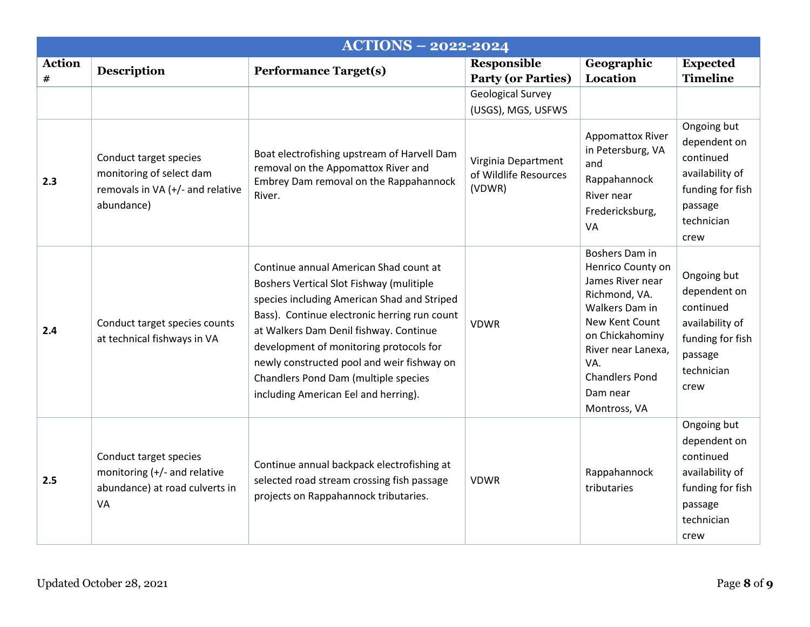| <b>ACTIONS - 2022-2024</b> |                                                                                                      |                                                                                                                                                                                                                                                                                                                                                                                                      |                                                        |                                                                                                                                                                                                                   |                                                                                                                  |  |  |
|----------------------------|------------------------------------------------------------------------------------------------------|------------------------------------------------------------------------------------------------------------------------------------------------------------------------------------------------------------------------------------------------------------------------------------------------------------------------------------------------------------------------------------------------------|--------------------------------------------------------|-------------------------------------------------------------------------------------------------------------------------------------------------------------------------------------------------------------------|------------------------------------------------------------------------------------------------------------------|--|--|
| <b>Action</b><br>#         | <b>Description</b>                                                                                   | <b>Performance Target(s)</b>                                                                                                                                                                                                                                                                                                                                                                         | Responsible<br><b>Party (or Parties)</b>               | Geographic<br>Location                                                                                                                                                                                            | <b>Expected</b><br><b>Timeline</b>                                                                               |  |  |
|                            |                                                                                                      |                                                                                                                                                                                                                                                                                                                                                                                                      | <b>Geological Survey</b><br>(USGS), MGS, USFWS         |                                                                                                                                                                                                                   |                                                                                                                  |  |  |
| 2.3                        | Conduct target species<br>monitoring of select dam<br>removals in VA (+/- and relative<br>abundance) | Boat electrofishing upstream of Harvell Dam<br>removal on the Appomattox River and<br>Embrey Dam removal on the Rappahannock<br>River.                                                                                                                                                                                                                                                               | Virginia Department<br>of Wildlife Resources<br>(VDWR) | <b>Appomattox River</b><br>in Petersburg, VA<br>and<br>Rappahannock<br>River near<br>Fredericksburg,<br>VA                                                                                                        | Ongoing but<br>dependent on<br>continued<br>availability of<br>funding for fish<br>passage<br>technician<br>crew |  |  |
| 2.4                        | Conduct target species counts<br>at technical fishways in VA                                         | Continue annual American Shad count at<br>Boshers Vertical Slot Fishway (mulitiple<br>species including American Shad and Striped<br>Bass). Continue electronic herring run count<br>at Walkers Dam Denil fishway. Continue<br>development of monitoring protocols for<br>newly constructed pool and weir fishway on<br>Chandlers Pond Dam (multiple species<br>including American Eel and herring). | <b>VDWR</b>                                            | Boshers Dam in<br>Henrico County on<br>James River near<br>Richmond, VA.<br>Walkers Dam in<br>New Kent Count<br>on Chickahominy<br>River near Lanexa,<br>VA.<br><b>Chandlers Pond</b><br>Dam near<br>Montross, VA | Ongoing but<br>dependent on<br>continued<br>availability of<br>funding for fish<br>passage<br>technician<br>crew |  |  |
| 2.5                        | Conduct target species<br>monitoring (+/- and relative<br>abundance) at road culverts in<br>VA       | Continue annual backpack electrofishing at<br>selected road stream crossing fish passage<br>projects on Rappahannock tributaries.                                                                                                                                                                                                                                                                    | <b>VDWR</b>                                            | Rappahannock<br>tributaries                                                                                                                                                                                       | Ongoing but<br>dependent on<br>continued<br>availability of<br>funding for fish<br>passage<br>technician<br>crew |  |  |